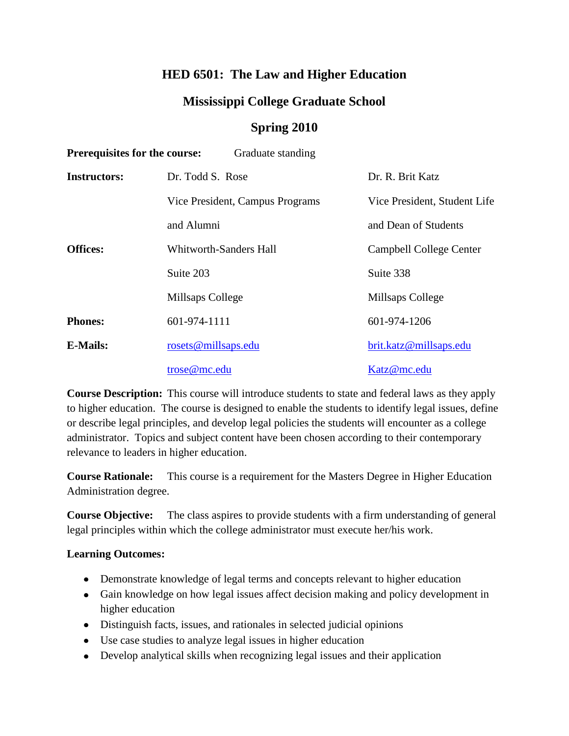# **HED 6501: The Law and Higher Education**

# **Mississippi College Graduate School**

## **Spring 2010**

| <b>Prerequisites for the course:</b><br>Graduate standing |                                 |                              |  |  |
|-----------------------------------------------------------|---------------------------------|------------------------------|--|--|
| <b>Instructors:</b>                                       | Dr. Todd S. Rose                | Dr. R. Brit Katz             |  |  |
|                                                           | Vice President, Campus Programs | Vice President, Student Life |  |  |
|                                                           | and Alumni                      | and Dean of Students         |  |  |
| <b>Offices:</b>                                           | <b>Whitworth-Sanders Hall</b>   | Campbell College Center      |  |  |
|                                                           | Suite 203                       | Suite 338                    |  |  |
|                                                           | Millsaps College                | Millsaps College             |  |  |
| <b>Phones:</b>                                            | 601-974-1111                    | 601-974-1206                 |  |  |
| <b>E-Mails:</b>                                           | rosets@millsaps.edu             | brit.katz@millsaps.edu       |  |  |
|                                                           | trose@mc.edu                    | Katz@mc.edu                  |  |  |

**Course Description:** This course will introduce students to state and federal laws as they apply to higher education. The course is designed to enable the students to identify legal issues, define or describe legal principles, and develop legal policies the students will encounter as a college administrator. Topics and subject content have been chosen according to their contemporary relevance to leaders in higher education.

**Course Rationale:** This course is a requirement for the Masters Degree in Higher Education Administration degree.

**Course Objective:** The class aspires to provide students with a firm understanding of general legal principles within which the college administrator must execute her/his work.

## **Learning Outcomes:**

- Demonstrate knowledge of legal terms and concepts relevant to higher education
- Gain knowledge on how legal issues affect decision making and policy development in higher education
- Distinguish facts, issues, and rationales in selected judicial opinions
- Use case studies to analyze legal issues in higher education
- Develop analytical skills when recognizing legal issues and their application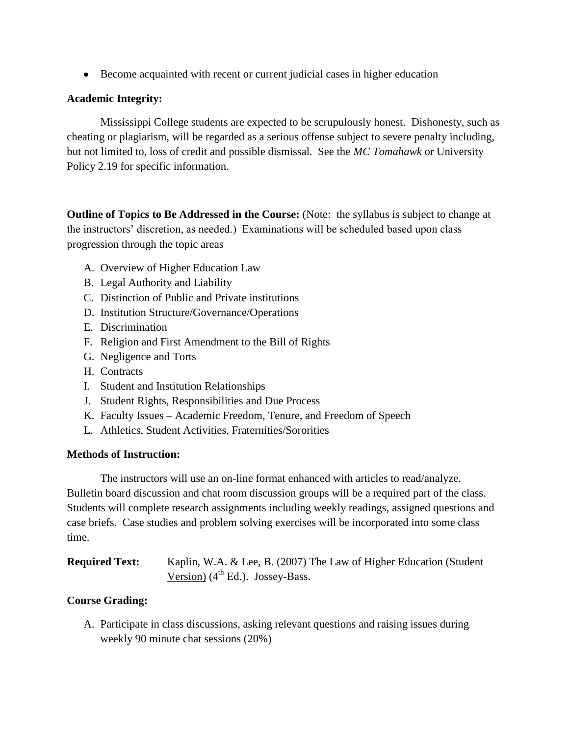Become acquainted with recent or current judicial cases in higher education

#### **Academic Integrity:**

Mississippi College students are expected to be scrupulously honest. Dishonesty, such as cheating or plagiarism, will be regarded as a serious offense subject to severe penalty including, but not limited to, loss of credit and possible dismissal. See the *MC Tomahawk* or University Policy 2.19 for specific information.

**Outline of Topics to Be Addressed in the Course:** (Note: the syllabus is subject to change at the instructors' discretion, as needed.) Examinations will be scheduled based upon class progression through the topic areas

- A. Overview of Higher Education Law
- B. Legal Authority and Liability
- C. Distinction of Public and Private institutions
- D. Institution Structure/Governance/Operations
- E. Discrimination
- F. Religion and First Amendment to the Bill of Rights
- G. Negligence and Torts
- H. Contracts
- I. Student and Institution Relationships
- J. Student Rights, Responsibilities and Due Process
- K. Faculty Issues Academic Freedom, Tenure, and Freedom of Speech
- L. Athletics, Student Activities, Fraternities/Sororities

#### **Methods of Instruction:**

The instructors will use an on-line format enhanced with articles to read/analyze. Bulletin board discussion and chat room discussion groups will be a required part of the class. Students will complete research assignments including weekly readings, assigned questions and case briefs. Case studies and problem solving exercises will be incorporated into some class time.

| <b>Required Text:</b> | Kaplin, W.A. & Lee, B. (2007) The Law of Higher Education (Student |
|-----------------------|--------------------------------------------------------------------|
|                       | Version) $(4th Ed.)$ . Jossey-Bass.                                |

## **Course Grading:**

A. Participate in class discussions, asking relevant questions and raising issues during weekly 90 minute chat sessions (20%)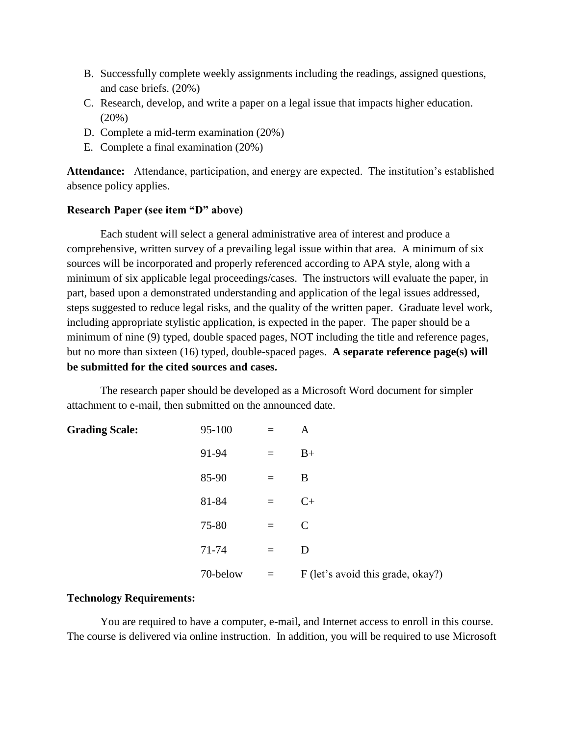- B. Successfully complete weekly assignments including the readings, assigned questions, and case briefs. (20%)
- C. Research, develop, and write a paper on a legal issue that impacts higher education. (20%)
- D. Complete a mid-term examination (20%)
- E. Complete a final examination (20%)

**Attendance:** Attendance, participation, and energy are expected. The institution's established absence policy applies.

#### **Research Paper (see item "D" above)**

Each student will select a general administrative area of interest and produce a comprehensive, written survey of a prevailing legal issue within that area. A minimum of six sources will be incorporated and properly referenced according to APA style, along with a minimum of six applicable legal proceedings/cases. The instructors will evaluate the paper, in part, based upon a demonstrated understanding and application of the legal issues addressed, steps suggested to reduce legal risks, and the quality of the written paper. Graduate level work, including appropriate stylistic application, is expected in the paper. The paper should be a minimum of nine (9) typed, double spaced pages, NOT including the title and reference pages, but no more than sixteen (16) typed, double-spaced pages. **A separate reference page(s) will be submitted for the cited sources and cases.** 

The research paper should be developed as a Microsoft Word document for simpler attachment to e-mail, then submitted on the announced date.

| <b>Grading Scale:</b> | 95-100   | $=$ | A                                 |
|-----------------------|----------|-----|-----------------------------------|
|                       | 91-94    | $=$ | $B+$                              |
|                       | 85-90    | $=$ | B                                 |
|                       | 81-84    | $=$ | $C+$                              |
|                       | 75-80    | $=$ | $\mathcal{C}$                     |
|                       | 71-74    | $=$ | D                                 |
|                       | 70-below | $=$ | F (let's avoid this grade, okay?) |

#### **Technology Requirements:**

You are required to have a computer, e-mail, and Internet access to enroll in this course. The course is delivered via online instruction. In addition, you will be required to use Microsoft